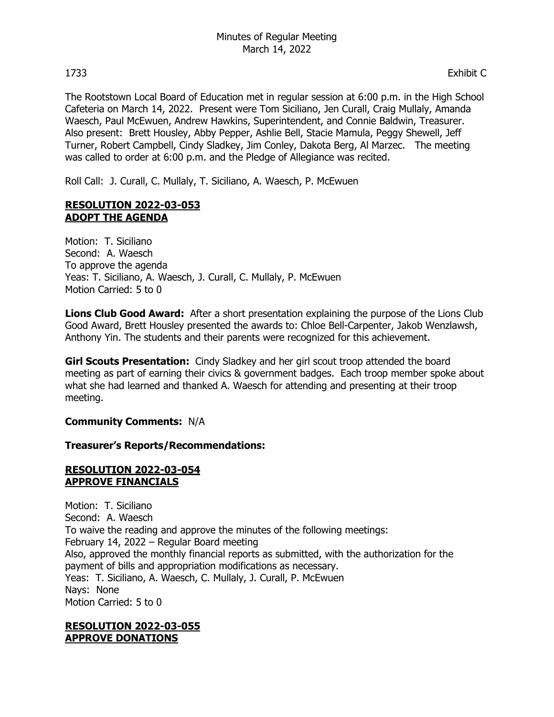The Rootstown Local Board of Education met in regular session at 6:00 p.m. in the High School Cafeteria on March 14, 2022. Present were Tom Siciliano, Jen Curall, Craig Mullaly, Amanda Waesch, Paul McEwuen, Andrew Hawkins, Superintendent, and Connie Baldwin, Treasurer. Also present: Brett Housley, Abby Pepper, Ashlie Bell, Stacie Mamula, Peggy Shewell, Jeff Turner, Robert Campbell, Cindy Sladkey, Jim Conley, Dakota Berg, Al Marzec. The meeting was called to order at 6:00 p.m. and the Pledge of Allegiance was recited.

Roll Call: J. Curall, C. Mullaly, T. Siciliano, A. Waesch, P. McEwuen

### **RESOLUTION 2022-03-053 ADOPT THE AGENDA**

Motion: T. Siciliano Second: A. Waesch To approve the agenda Yeas: T. Siciliano, A. Waesch, J. Curall, C. Mullaly, P. McEwuen Motion Carried: 5 to 0

**Lions Club Good Award:** After a short presentation explaining the purpose of the Lions Club Good Award, Brett Housley presented the awards to: Chloe Bell-Carpenter, Jakob Wenzlawsh, Anthony Yin. The students and their parents were recognized for this achievement.

**Girl Scouts Presentation:** Cindy Sladkey and her girl scout troop attended the board meeting as part of earning their civics & government badges. Each troop member spoke about what she had learned and thanked A. Waesch for attending and presenting at their troop meeting.

### **Community Comments:** N/A

### **Treasurer's Reports/Recommendations:**

#### **RESOLUTION 2022-03-054 APPROVE FINANCIALS**

Motion: T. Siciliano Second: A. Waesch To waive the reading and approve the minutes of the following meetings: February 14, 2022 – Regular Board meeting Also, approved the monthly financial reports as submitted, with the authorization for the payment of bills and appropriation modifications as necessary. Yeas: T. Siciliano, A. Waesch, C. Mullaly, J. Curall, P. McEwuen Nays: None Motion Carried: 5 to 0

#### **RESOLUTION 2022-03-055 APPROVE DONATIONS**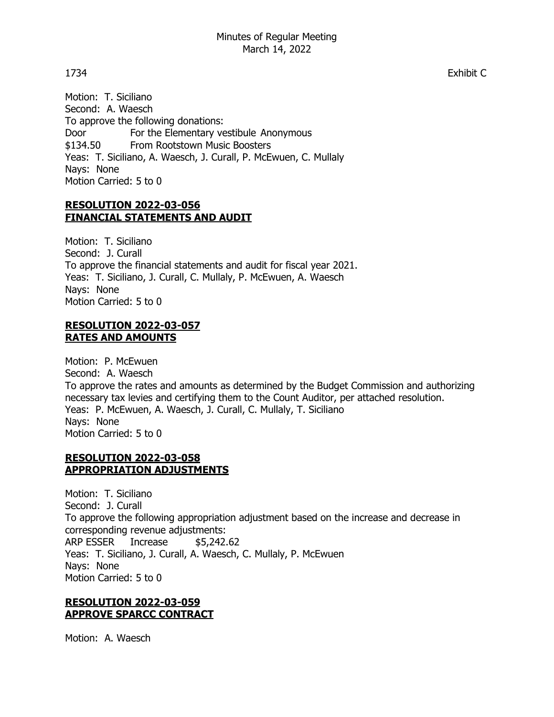Motion: T. Siciliano Second: A. Waesch To approve the following donations: Door For the Elementary vestibule Anonymous \$134.50 From Rootstown Music Boosters Yeas: T. Siciliano, A. Waesch, J. Curall, P. McEwuen, C. Mullaly Nays: None Motion Carried: 5 to 0

### **RESOLUTION 2022-03-056 FINANCIAL STATEMENTS AND AUDIT**

Motion: T. Siciliano Second: J. Curall To approve the financial statements and audit for fiscal year 2021. Yeas: T. Siciliano, J. Curall, C. Mullaly, P. McEwuen, A. Waesch Nays: None Motion Carried: 5 to 0

### **RESOLUTION 2022-03-057 RATES AND AMOUNTS**

Motion: P. McEwuen Second: A. Waesch To approve the rates and amounts as determined by the Budget Commission and authorizing necessary tax levies and certifying them to the Count Auditor, per attached resolution. Yeas: P. McEwuen, A. Waesch, J. Curall, C. Mullaly, T. Siciliano Nays: None Motion Carried: 5 to 0

## **RESOLUTION 2022-03-058 APPROPRIATION ADJUSTMENTS**

Motion: T. Siciliano Second: J. Curall To approve the following appropriation adjustment based on the increase and decrease in corresponding revenue adjustments: ARP ESSER Increase \$5,242.62 Yeas: T. Siciliano, J. Curall, A. Waesch, C. Mullaly, P. McEwuen Nays: None Motion Carried: 5 to 0

# **RESOLUTION 2022-03-059 APPROVE SPARCC CONTRACT**

Motion: A. Waesch

1734 Exhibit C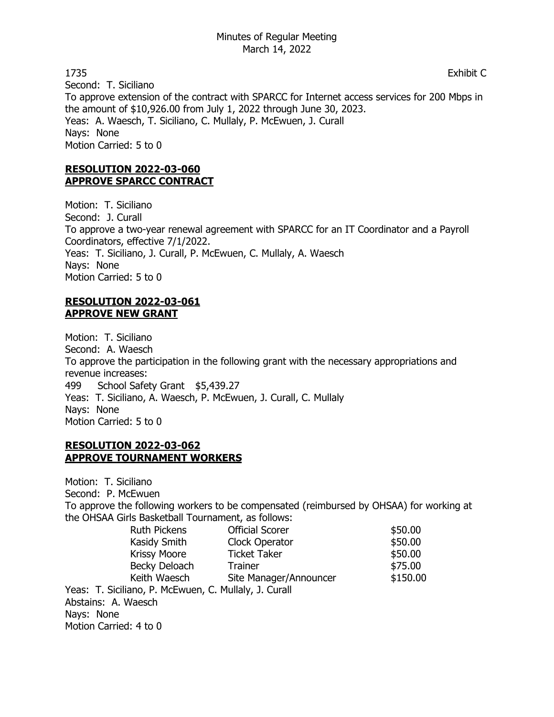1735 Exhibit C Second: T. Siciliano To approve extension of the contract with SPARCC for Internet access services for 200 Mbps in the amount of \$10,926.00 from July 1, 2022 through June 30, 2023. Yeas: A. Waesch, T. Siciliano, C. Mullaly, P. McEwuen, J. Curall Nays: None Motion Carried: 5 to 0

# **RESOLUTION 2022-03-060 APPROVE SPARCC CONTRACT**

Motion: T. Siciliano Second: J. Curall To approve a two-year renewal agreement with SPARCC for an IT Coordinator and a Payroll Coordinators, effective 7/1/2022. Yeas: T. Siciliano, J. Curall, P. McEwuen, C. Mullaly, A. Waesch Nays: None Motion Carried: 5 to 0

## **RESOLUTION 2022-03-061 APPROVE NEW GRANT**

Motion: T. Siciliano Second: A. Waesch To approve the participation in the following grant with the necessary appropriations and revenue increases: 499 School Safety Grant \$5,439.27 Yeas: T. Siciliano, A. Waesch, P. McEwuen, J. Curall, C. Mullaly Nays: None Motion Carried: 5 to 0

## **RESOLUTION 2022-03-062 APPROVE TOURNAMENT WORKERS**

Motion: T. Siciliano Second: P. McEwuen To approve the following workers to be compensated (reimbursed by OHSAA) for working at the OHSAA Girls Basketball Tournament, as follows: Ruth Pickens **Official Scorer** \$50.00 Kasidy Smith Clock Operator \$50.00 Krissy Moore Ticket Taker \$50.00 Becky Deloach Trainer \$75.00 Keith Waesch Site Manager/Announcer \$150.00 Yeas: T. Siciliano, P. McEwuen, C. Mullaly, J. Curall Abstains: A. Waesch Nays: None Motion Carried: 4 to 0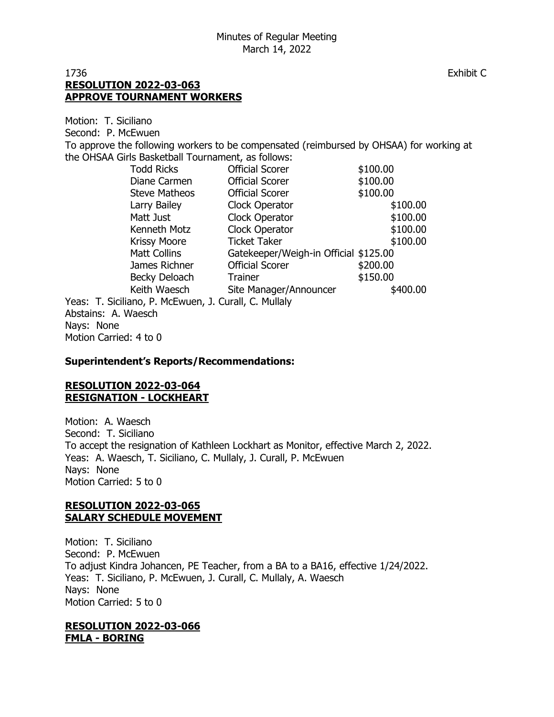### 1736 Exhibit C **RESOLUTION 2022-03-063 APPROVE TOURNAMENT WORKERS**

Motion: T. Siciliano

Second: P. McEwuen

To approve the following workers to be compensated (reimbursed by OHSAA) for working at the OHSAA Girls Basketball Tournament, as follows:

|                                           | <b>Todd Ricks</b>    | <b>Official Scorer</b>                | \$100.00 |
|-------------------------------------------|----------------------|---------------------------------------|----------|
|                                           | Diane Carmen         | <b>Official Scorer</b>                | \$100.00 |
|                                           | <b>Steve Matheos</b> | <b>Official Scorer</b>                | \$100.00 |
|                                           | Larry Bailey         | Clock Operator                        | \$100.00 |
|                                           | Matt Just            | Clock Operator                        | \$100.00 |
|                                           | Kenneth Motz         | Clock Operator                        | \$100.00 |
|                                           | <b>Krissy Moore</b>  | <b>Ticket Taker</b>                   | \$100.00 |
|                                           | <b>Matt Collins</b>  | Gatekeeper/Weigh-in Official \$125.00 |          |
|                                           | James Richner        | <b>Official Scorer</b>                | \$200.00 |
|                                           | Becky Deloach        | <b>Trainer</b>                        | \$150.00 |
|                                           | Keith Waesch         | Site Manager/Announcer                | \$400.00 |
| iliano, P. McEwuen, J. Curall, C. Mullaly |                      |                                       |          |
| M2222                                     |                      |                                       |          |

Yeas: T. Sici Abstains: A. Waesch Nays: None Motion Carried: 4 to 0

### **Superintendent's Reports/Recommendations:**

## **RESOLUTION 2022-03-064 RESIGNATION - LOCKHEART**

Motion: A. Waesch Second: T. Siciliano To accept the resignation of Kathleen Lockhart as Monitor, effective March 2, 2022. Yeas: A. Waesch, T. Siciliano, C. Mullaly, J. Curall, P. McEwuen Nays: None Motion Carried: 5 to 0

## **RESOLUTION 2022-03-065 SALARY SCHEDULE MOVEMENT**

Motion: T. Siciliano Second: P. McEwuen To adjust Kindra Johancen, PE Teacher, from a BA to a BA16, effective 1/24/2022. Yeas: T. Siciliano, P. McEwuen, J. Curall, C. Mullaly, A. Waesch Nays: None Motion Carried: 5 to 0

#### **RESOLUTION 2022-03-066 FMLA - BORING**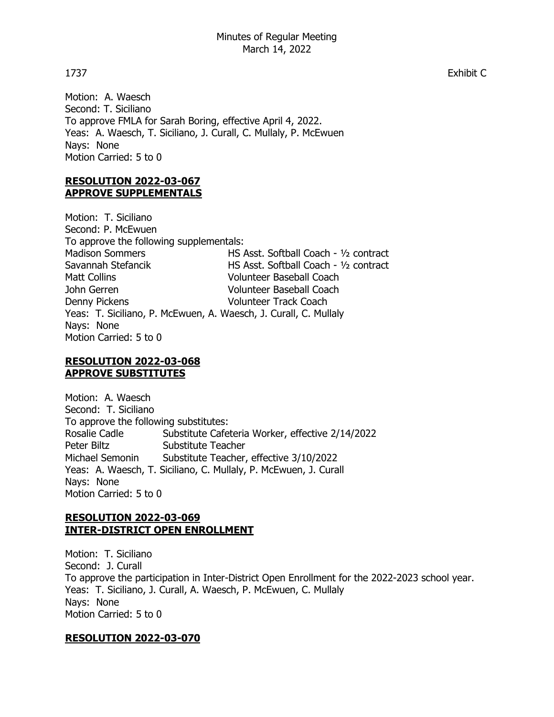Motion: A. Waesch Second: T. Siciliano To approve FMLA for Sarah Boring, effective April 4, 2022. Yeas: A. Waesch, T. Siciliano, J. Curall, C. Mullaly, P. McEwuen Nays: None Motion Carried: 5 to 0

## **RESOLUTION 2022-03-067 APPROVE SUPPLEMENTALS**

Motion: T. Siciliano Second: P. McEwuen To approve the following supplementals: Madison Sommers **HS Asst. Softball Coach - 1/2 contract** Savannah Stefancik HS Asst. Softball Coach - ½ contract Matt Collins **Volunteer Baseball Coach** John Gerren Volunteer Baseball Coach Denny Pickens Volunteer Track Coach Yeas: T. Siciliano, P. McEwuen, A. Waesch, J. Curall, C. Mullaly Nays: None Motion Carried: 5 to 0

### **RESOLUTION 2022-03-068 APPROVE SUBSTITUTES**

Motion: A. Waesch Second: T. Siciliano To approve the following substitutes: Rosalie Cadle Substitute Cafeteria Worker, effective 2/14/2022 Peter Biltz Substitute Teacher<br>Michael Semonin Substitute Teacher. Substitute Teacher, effective 3/10/2022 Yeas: A. Waesch, T. Siciliano, C. Mullaly, P. McEwuen, J. Curall Nays: None Motion Carried: 5 to 0

# **RESOLUTION 2022-03-069 INTER-DISTRICT OPEN ENROLLMENT**

Motion: T. Siciliano Second: J. Curall To approve the participation in Inter-District Open Enrollment for the 2022-2023 school year. Yeas: T. Siciliano, J. Curall, A. Waesch, P. McEwuen, C. Mullaly Nays: None Motion Carried: 5 to 0

# **RESOLUTION 2022-03-070**

1737 Exhibit C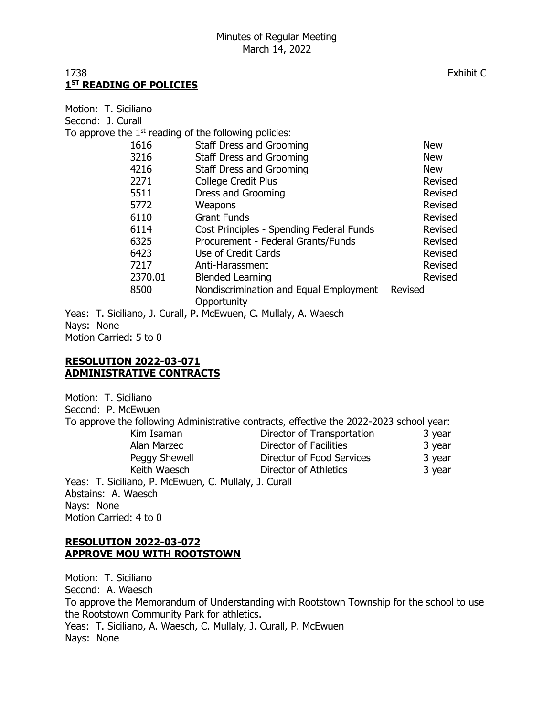## 1738 Exhibit C **1 ST READING OF POLICIES**

Motion: T. Siciliano Second: J. Curall To approve the  $1<sup>st</sup>$  reading of the following policies: 1616 Staff Dress and Grooming New 3216 Staff Dress and Grooming New 4216 Staff Dress and Grooming New 2271 College Credit Plus **Revised** 5511 Dress and Grooming **Example 2018** Revised 5772 Weapons Revised 6110 Grant Funds Revised 6114 Cost Principles - Spending Federal Funds Revised 6325 Procurement - Federal Grants/Funds Revised 6423 Use of Credit Cards Revised 7217 Anti-Harassment Revised 2370.01 Blended Learning Revised 8500 Nondiscrimination and Equal Employment Revised **Opportunity** Yeas: T. Siciliano, J. Curall, P. McEwuen, C. Mullaly, A. Waesch

Nays: None Motion Carried: 5 to 0

#### **RESOLUTION 2022-03-071 ADMINISTRATIVE CONTRACTS**

Motion: T. Siciliano Second: P. McEwuen To approve the following Administrative contracts, effective the 2022-2023 school year: Kim Isaman **Director of Transportation** 3 year Alan Marzec **Director of Facilities** 3 year Peggy Shewell **Director of Food Services** 3 year Keith Waesch **Director of Athletics** 3 year Yeas: T. Siciliano, P. McEwuen, C. Mullaly, J. Curall Abstains: A. Waesch Nays: None Motion Carried: 4 to 0

## **RESOLUTION 2022-03-072 APPROVE MOU WITH ROOTSTOWN**

Motion: T. Siciliano Second: A. Waesch To approve the Memorandum of Understanding with Rootstown Township for the school to use the Rootstown Community Park for athletics. Yeas: T. Siciliano, A. Waesch, C. Mullaly, J. Curall, P. McEwuen Nays: None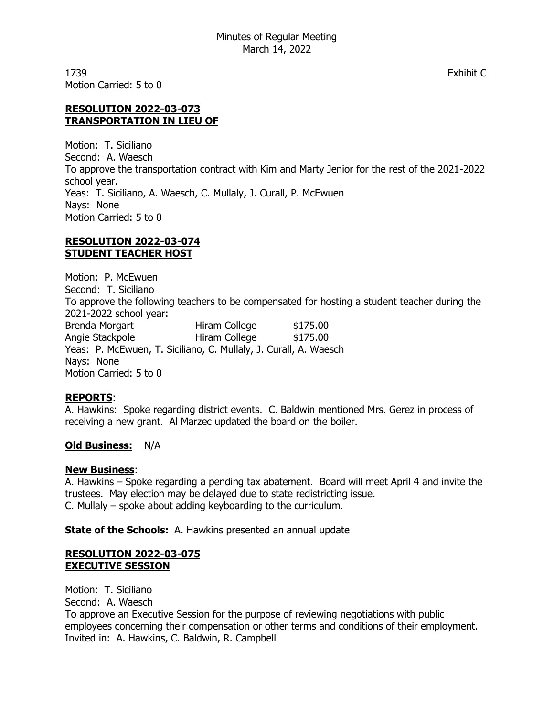1739 Exhibit C Motion Carried: 5 to 0

## **RESOLUTION 2022-03-073 TRANSPORTATION IN LIEU OF**

Motion: T. Siciliano Second: A. Waesch To approve the transportation contract with Kim and Marty Jenior for the rest of the 2021-2022 school year. Yeas: T. Siciliano, A. Waesch, C. Mullaly, J. Curall, P. McEwuen Nays: None Motion Carried: 5 to 0

### **RESOLUTION 2022-03-074 STUDENT TEACHER HOST**

Motion: P. McEwuen Second: T. Siciliano To approve the following teachers to be compensated for hosting a student teacher during the 2021-2022 school year: Brenda Morgart Hiram College \$175.00 Angie Stackpole **Hiram College** \$175.00 Yeas: P. McEwuen, T. Siciliano, C. Mullaly, J. Curall, A. Waesch Nays: None Motion Carried: 5 to 0

# **REPORTS**:

A. Hawkins: Spoke regarding district events. C. Baldwin mentioned Mrs. Gerez in process of receiving a new grant. Al Marzec updated the board on the boiler.

# **Old Business:** N/A

### **New Business**:

A. Hawkins – Spoke regarding a pending tax abatement. Board will meet April 4 and invite the trustees. May election may be delayed due to state redistricting issue. C. Mullaly – spoke about adding keyboarding to the curriculum.

**State of the Schools:** A. Hawkins presented an annual update

## **RESOLUTION 2022-03-075 EXECUTIVE SESSION**

Motion: T. Siciliano Second: A. Waesch To approve an Executive Session for the purpose of reviewing negotiations with public employees concerning their compensation or other terms and conditions of their employment. Invited in: A. Hawkins, C. Baldwin, R. Campbell